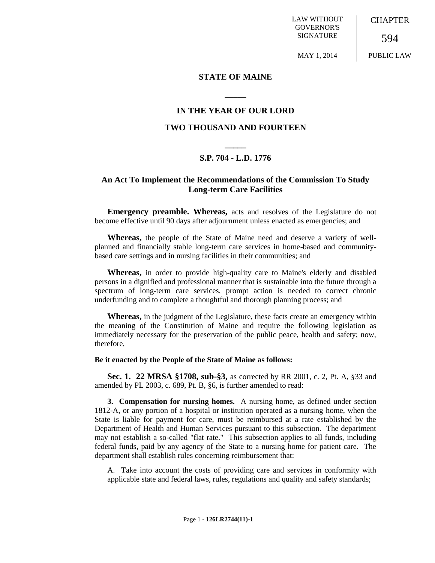LAW WITHOUT GOVERNOR'S SIGNATURE

**CHAPTER** 

594

MAY 1, 2014

PUBLIC LAW

### **STATE OF MAINE**

### **IN THE YEAR OF OUR LORD**

**\_\_\_\_\_**

### **TWO THOUSAND AND FOURTEEN**

# **\_\_\_\_\_ S.P. 704 - L.D. 1776**

## **An Act To Implement the Recommendations of the Commission To Study Long-term Care Facilities**

**Emergency preamble. Whereas,** acts and resolves of the Legislature do not become effective until 90 days after adjournment unless enacted as emergencies; and

**Whereas,** the people of the State of Maine need and deserve a variety of wellplanned and financially stable long-term care services in home-based and communitybased care settings and in nursing facilities in their communities; and

**Whereas,** in order to provide high-quality care to Maine's elderly and disabled persons in a dignified and professional manner that is sustainable into the future through a spectrum of long-term care services, prompt action is needed to correct chronic underfunding and to complete a thoughtful and thorough planning process; and

**Whereas,** in the judgment of the Legislature, these facts create an emergency within the meaning of the Constitution of Maine and require the following legislation as immediately necessary for the preservation of the public peace, health and safety; now, therefore,

#### **Be it enacted by the People of the State of Maine as follows:**

**Sec. 1. 22 MRSA §1708, sub-§3,** as corrected by RR 2001, c. 2, Pt. A, §33 and amended by PL 2003, c. 689, Pt. B, §6, is further amended to read:

**3. Compensation for nursing homes.** A nursing home, as defined under section 1812-A, or any portion of a hospital or institution operated as a nursing home, when the State is liable for payment for care, must be reimbursed at a rate established by the Department of Health and Human Services pursuant to this subsection. The department may not establish a so-called "flat rate." This subsection applies to all funds, including federal funds, paid by any agency of the State to a nursing home for patient care. The department shall establish rules concerning reimbursement that:

A. Take into account the costs of providing care and services in conformity with applicable state and federal laws, rules, regulations and quality and safety standards;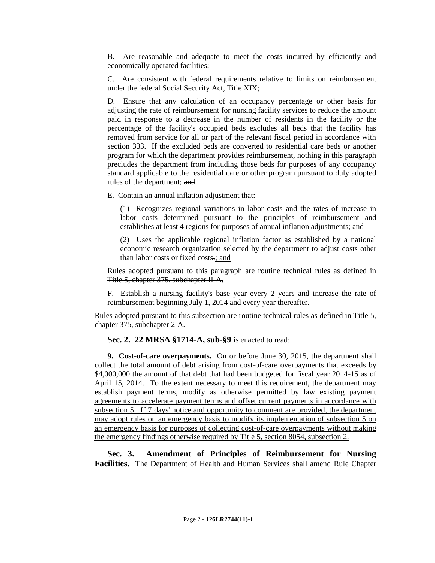B. Are reasonable and adequate to meet the costs incurred by efficiently and economically operated facilities;

C. Are consistent with federal requirements relative to limits on reimbursement under the federal Social Security Act, Title XIX;

D. Ensure that any calculation of an occupancy percentage or other basis for adjusting the rate of reimbursement for nursing facility services to reduce the amount paid in response to a decrease in the number of residents in the facility or the percentage of the facility's occupied beds excludes all beds that the facility has removed from service for all or part of the relevant fiscal period in accordance with section 333. If the excluded beds are converted to residential care beds or another program for which the department provides reimbursement, nothing in this paragraph precludes the department from including those beds for purposes of any occupancy standard applicable to the residential care or other program pursuant to duly adopted rules of the department; and

E. Contain an annual inflation adjustment that:

(1) Recognizes regional variations in labor costs and the rates of increase in labor costs determined pursuant to the principles of reimbursement and establishes at least 4 regions for purposes of annual inflation adjustments; and

(2) Uses the applicable regional inflation factor as established by a national economic research organization selected by the department to adjust costs other than labor costs or fixed costs.; and

Rules adopted pursuant to this paragraph are routine technical rules as defined in Title 5, chapter 375, subchapter II-A.

F. Establish a nursing facility's base year every 2 years and increase the rate of reimbursement beginning July 1, 2014 and every year thereafter.

Rules adopted pursuant to this subsection are routine technical rules as defined in Title 5, chapter 375, subchapter 2-A.

**Sec. 2. 22 MRSA §1714-A, sub-§9** is enacted to read:

**9. Cost-of-care overpayments.** On or before June 30, 2015, the department shall collect the total amount of debt arising from cost-of-care overpayments that exceeds by \$4,000,000 the amount of that debt that had been budgeted for fiscal year 2014-15 as of April 15, 2014. To the extent necessary to meet this requirement, the department may establish payment terms, modify as otherwise permitted by law existing payment agreements to accelerate payment terms and offset current payments in accordance with subsection 5. If 7 days' notice and opportunity to comment are provided, the department may adopt rules on an emergency basis to modify its implementation of subsection 5 on an emergency basis for purposes of collecting cost-of-care overpayments without making the emergency findings otherwise required by Title 5, section 8054, subsection 2.

**Sec. 3. Amendment of Principles of Reimbursement for Nursing Facilities.** The Department of Health and Human Services shall amend Rule Chapter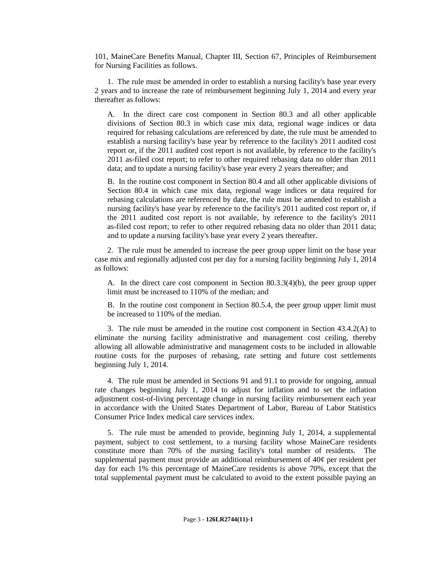101, MaineCare Benefits Manual, Chapter III, Section 67, Principles of Reimbursement for Nursing Facilities as follows.

1. The rule must be amended in order to establish a nursing facility's base year every 2 years and to increase the rate of reimbursement beginning July 1, 2014 and every year thereafter as follows:

A. In the direct care cost component in Section 80.3 and all other applicable divisions of Section 80.3 in which case mix data, regional wage indices or data required for rebasing calculations are referenced by date, the rule must be amended to establish a nursing facility's base year by reference to the facility's 2011 audited cost report or, if the 2011 audited cost report is not available, by reference to the facility's 2011 as-filed cost report; to refer to other required rebasing data no older than 2011 data; and to update a nursing facility's base year every 2 years thereafter; and

B. In the routine cost component in Section 80.4 and all other applicable divisions of Section 80.4 in which case mix data, regional wage indices or data required for rebasing calculations are referenced by date, the rule must be amended to establish a nursing facility's base year by reference to the facility's 2011 audited cost report or, if the 2011 audited cost report is not available, by reference to the facility's 2011 as-filed cost report; to refer to other required rebasing data no older than 2011 data; and to update a nursing facility's base year every 2 years thereafter.

2. The rule must be amended to increase the peer group upper limit on the base year case mix and regionally adjusted cost per day for a nursing facility beginning July 1, 2014 as follows:

A. In the direct care cost component in Section 80.3.3(4)(b), the peer group upper limit must be increased to 110% of the median; and

B. In the routine cost component in Section 80.5.4, the peer group upper limit must be increased to 110% of the median.

3. The rule must be amended in the routine cost component in Section 43.4.2(A) to eliminate the nursing facility administrative and management cost ceiling, thereby allowing all allowable administrative and management costs to be included in allowable routine costs for the purposes of rebasing, rate setting and future cost settlements beginning July 1, 2014.

4. The rule must be amended in Sections 91 and 91.1 to provide for ongoing, annual rate changes beginning July 1, 2014 to adjust for inflation and to set the inflation adjustment cost-of-living percentage change in nursing facility reimbursement each year in accordance with the United States Department of Labor, Bureau of Labor Statistics Consumer Price Index medical care services index.

5. The rule must be amended to provide, beginning July 1, 2014, a supplemental payment, subject to cost settlement, to a nursing facility whose MaineCare residents constitute more than 70% of the nursing facility's total number of residents. The supplemental payment must provide an additional reimbursement of 40¢ per resident per day for each 1% this percentage of MaineCare residents is above 70%, except that the total supplemental payment must be calculated to avoid to the extent possible paying an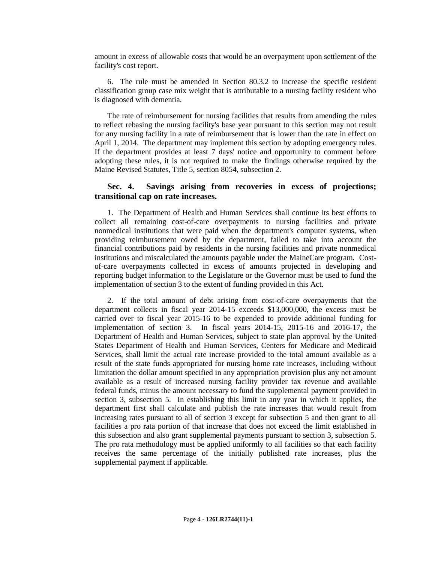amount in excess of allowable costs that would be an overpayment upon settlement of the facility's cost report.

6. The rule must be amended in Section 80.3.2 to increase the specific resident classification group case mix weight that is attributable to a nursing facility resident who is diagnosed with dementia.

The rate of reimbursement for nursing facilities that results from amending the rules to reflect rebasing the nursing facility's base year pursuant to this section may not result for any nursing facility in a rate of reimbursement that is lower than the rate in effect on April 1, 2014. The department may implement this section by adopting emergency rules. If the department provides at least 7 days' notice and opportunity to comment before adopting these rules, it is not required to make the findings otherwise required by the Maine Revised Statutes, Title 5, section 8054, subsection 2.

### **Sec. 4. Savings arising from recoveries in excess of projections; transitional cap on rate increases.**

1. The Department of Health and Human Services shall continue its best efforts to collect all remaining cost-of-care overpayments to nursing facilities and private nonmedical institutions that were paid when the department's computer systems, when providing reimbursement owed by the department, failed to take into account the financial contributions paid by residents in the nursing facilities and private nonmedical institutions and miscalculated the amounts payable under the MaineCare program. Costof-care overpayments collected in excess of amounts projected in developing and reporting budget information to the Legislature or the Governor must be used to fund the implementation of section 3 to the extent of funding provided in this Act.

2. If the total amount of debt arising from cost-of-care overpayments that the department collects in fiscal year 2014-15 exceeds \$13,000,000, the excess must be carried over to fiscal year 2015-16 to be expended to provide additional funding for implementation of section 3. In fiscal years 2014-15, 2015-16 and 2016-17, the Department of Health and Human Services, subject to state plan approval by the United States Department of Health and Human Services, Centers for Medicare and Medicaid Services, shall limit the actual rate increase provided to the total amount available as a result of the state funds appropriated for nursing home rate increases, including without limitation the dollar amount specified in any appropriation provision plus any net amount available as a result of increased nursing facility provider tax revenue and available federal funds, minus the amount necessary to fund the supplemental payment provided in section 3, subsection 5. In establishing this limit in any year in which it applies, the department first shall calculate and publish the rate increases that would result from increasing rates pursuant to all of section 3 except for subsection 5 and then grant to all facilities a pro rata portion of that increase that does not exceed the limit established in this subsection and also grant supplemental payments pursuant to section 3, subsection 5. The pro rata methodology must be applied uniformly to all facilities so that each facility receives the same percentage of the initially published rate increases, plus the supplemental payment if applicable.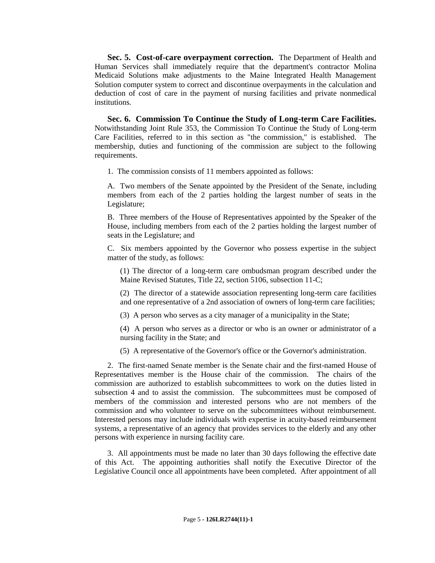**Sec. 5. Cost-of-care overpayment correction.** The Department of Health and Human Services shall immediately require that the department's contractor Molina Medicaid Solutions make adjustments to the Maine Integrated Health Management Solution computer system to correct and discontinue overpayments in the calculation and deduction of cost of care in the payment of nursing facilities and private nonmedical institutions.

**Sec. 6. Commission To Continue the Study of Long-term Care Facilities.**  Notwithstanding Joint Rule 353, the Commission To Continue the Study of Long-term Care Facilities, referred to in this section as "the commission," is established. The membership, duties and functioning of the commission are subject to the following requirements.

1. The commission consists of 11 members appointed as follows:

A. Two members of the Senate appointed by the President of the Senate, including members from each of the 2 parties holding the largest number of seats in the Legislature;

B. Three members of the House of Representatives appointed by the Speaker of the House, including members from each of the 2 parties holding the largest number of seats in the Legislature; and

C. Six members appointed by the Governor who possess expertise in the subject matter of the study, as follows:

(1) The director of a long-term care ombudsman program described under the Maine Revised Statutes, Title 22, section 5106, subsection 11-C;

(2) The director of a statewide association representing long-term care facilities and one representative of a 2nd association of owners of long-term care facilities;

(3) A person who serves as a city manager of a municipality in the State;

(4) A person who serves as a director or who is an owner or administrator of a nursing facility in the State; and

(5) A representative of the Governor's office or the Governor's administration.

2. The first-named Senate member is the Senate chair and the first-named House of Representatives member is the House chair of the commission. The chairs of the commission are authorized to establish subcommittees to work on the duties listed in subsection 4 and to assist the commission. The subcommittees must be composed of members of the commission and interested persons who are not members of the commission and who volunteer to serve on the subcommittees without reimbursement. Interested persons may include individuals with expertise in acuity-based reimbursement systems, a representative of an agency that provides services to the elderly and any other persons with experience in nursing facility care.

3. All appointments must be made no later than 30 days following the effective date of this Act. The appointing authorities shall notify the Executive Director of the Legislative Council once all appointments have been completed. After appointment of all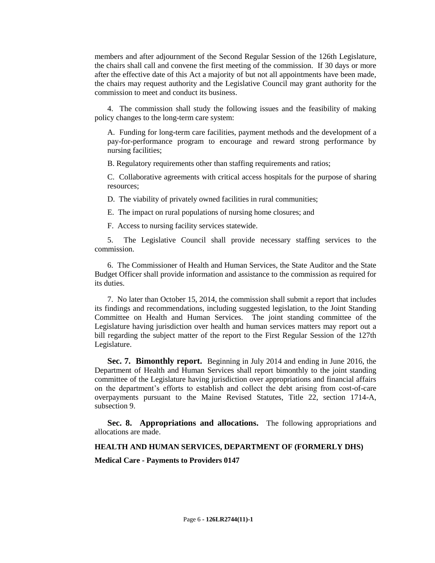members and after adjournment of the Second Regular Session of the 126th Legislature, the chairs shall call and convene the first meeting of the commission. If 30 days or more after the effective date of this Act a majority of but not all appointments have been made, the chairs may request authority and the Legislative Council may grant authority for the commission to meet and conduct its business.

4. The commission shall study the following issues and the feasibility of making policy changes to the long-term care system:

A. Funding for long-term care facilities, payment methods and the development of a pay-for-performance program to encourage and reward strong performance by nursing facilities;

B. Regulatory requirements other than staffing requirements and ratios;

C. Collaborative agreements with critical access hospitals for the purpose of sharing resources;

D. The viability of privately owned facilities in rural communities;

E. The impact on rural populations of nursing home closures; and

F. Access to nursing facility services statewide.

5. The Legislative Council shall provide necessary staffing services to the commission.

6. The Commissioner of Health and Human Services, the State Auditor and the State Budget Officer shall provide information and assistance to the commission as required for its duties.

7. No later than October 15, 2014, the commission shall submit a report that includes its findings and recommendations, including suggested legislation, to the Joint Standing Committee on Health and Human Services. The joint standing committee of the Legislature having jurisdiction over health and human services matters may report out a bill regarding the subject matter of the report to the First Regular Session of the 127th Legislature.

**Sec. 7. Bimonthly report.** Beginning in July 2014 and ending in June 2016, the Department of Health and Human Services shall report bimonthly to the joint standing committee of the Legislature having jurisdiction over appropriations and financial affairs on the department's efforts to establish and collect the debt arising from cost-of-care overpayments pursuant to the Maine Revised Statutes, Title 22, section 1714-A, subsection 9.

**Sec. 8. Appropriations and allocations.** The following appropriations and allocations are made.

#### **HEALTH AND HUMAN SERVICES, DEPARTMENT OF (FORMERLY DHS)**

**Medical Care - Payments to Providers 0147**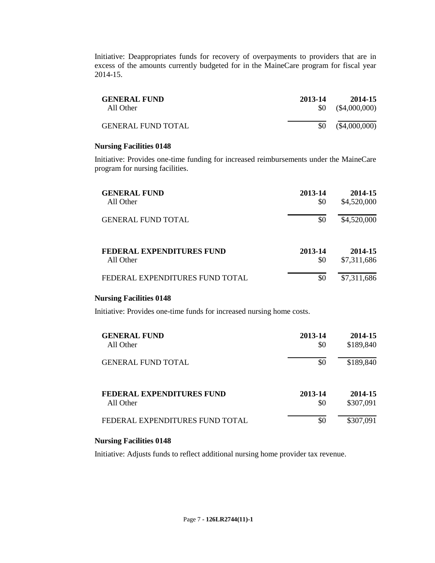Initiative: Deappropriates funds for recovery of overpayments to providers that are in excess of the amounts currently budgeted for in the MaineCare program for fiscal year 2014-15.

| <b>GENERAL FUND</b>       | 2013-14   | 2014-15         |
|---------------------------|-----------|-----------------|
| All Other                 | <b>SO</b> | $(\$4,000,000)$ |
| <b>GENERAL FUND TOTAL</b> |           | $(\$4,000,000)$ |

#### **Nursing Facilities 0148**

Initiative: Provides one-time funding for increased reimbursements under the MaineCare program for nursing facilities.

| <b>GENERAL FUND</b>              | 2013-14 | 2014-15     |
|----------------------------------|---------|-------------|
| All Other                        | \$0     | \$4,520,000 |
| <b>GENERAL FUND TOTAL</b>        | \$0     | \$4,520,000 |
| <b>FEDERAL EXPENDITURES FUND</b> | 2013-14 | 2014-15     |
| All Other                        | \$0     | \$7,311,686 |
| FEDERAL EXPENDITURES FUND TOTAL  | \$0     | \$7,311,686 |

#### **Nursing Facilities 0148**

Initiative: Provides one-time funds for increased nursing home costs.

| <b>GENERAL FUND</b>              | 2013-14 | 2014-15   |
|----------------------------------|---------|-----------|
| All Other                        | \$0     | \$189,840 |
| <b>GENERAL FUND TOTAL</b>        | \$0     | \$189,840 |
| <b>FEDERAL EXPENDITURES FUND</b> | 2013-14 | 2014-15   |
| All Other                        | \$0     | \$307,091 |
| FEDERAL EXPENDITURES FUND TOTAL  | \$0     | \$307,091 |

### **Nursing Facilities 0148**

Initiative: Adjusts funds to reflect additional nursing home provider tax revenue.